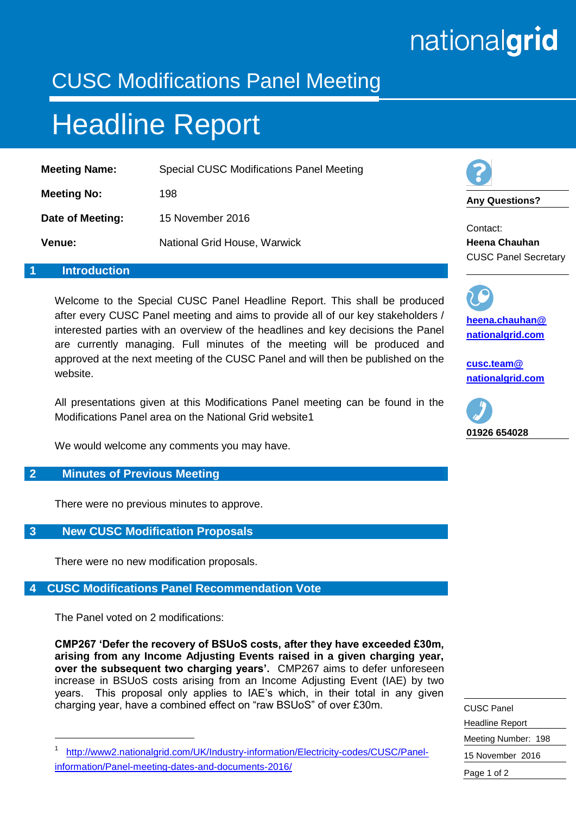# nationalgrid

### CUSC Modifications Panel Meeting

## Headline Report

| <b>Meeting Name:</b> | Special CUSC Modifications Panel Meeting |
|----------------------|------------------------------------------|
| <b>Meeting No:</b>   | 198                                      |
| Date of Meeting:     | 15 November 2016                         |
| Venue:               | National Grid House, Warwick             |

#### **1 Introduction**

Welcome to the Special CUSC Panel Headline Report. This shall be produced after every CUSC Panel meeting and aims to provide all of our key stakeholders / interested parties with an overview of the headlines and key decisions the Panel are currently managing. Full minutes of the meeting will be produced and approved at the next meeting of the CUSC Panel and will then be published on the website.

All presentations given at this Modifications Panel meeting can be found in the Modifications Panel area on the National Grid website1

We would welcome any comments you may have.

#### **2 Minutes of Previous Meeting**

There were no previous minutes to approve.

#### **3 New CUSC Modification Proposals**

There were no new modification proposals.

#### **4 CUSC Modifications Panel Recommendation Vote**

The Panel voted on 2 modifications:

-

**CMP267 'Defer the recovery of BSUoS costs, after they have exceeded £30m, arising from any Income Adjusting Events raised in a given charging year, over the subsequent two charging years'.** CMP267 aims to defer unforeseen increase in BSUoS costs arising from an Income Adjusting Event (IAE) by two years. This proposal only applies to IAE's which, in their total in any given charging year, have a combined effect on "raw BSUoS" of over £30m.



**Any Questions?**

Contact: **Heena Chauhan** CUSC Panel Secretary

**[heena.chauhan@](mailto:heena.chauhan@%0Bnationalgrid.com) [nationalgrid.com](mailto:heena.chauhan@%0Bnationalgrid.com)**

**[cusc.team@](mailto:cusc.team@%20nationalgrid.com)  [nationalgrid.com](mailto:cusc.team@%20nationalgrid.com)**



| <b>CUSC Panel</b>      |
|------------------------|
| <b>Headline Report</b> |
| Meeting Number: 198    |
| 15 November 2016       |
| Page 1 of 2            |

<sup>1</sup> [http://www2.nationalgrid.com/UK/Industry-information/Electricity-codes/CUSC/Panel](http://www2.nationalgrid.com/UK/Industry-information/Electricity-codes/CUSC/Panel-information/Panel-meeting-dates-and-documents-2016/)[information/Panel-meeting-dates-and-documents-2016/](http://www2.nationalgrid.com/UK/Industry-information/Electricity-codes/CUSC/Panel-information/Panel-meeting-dates-and-documents-2016/)